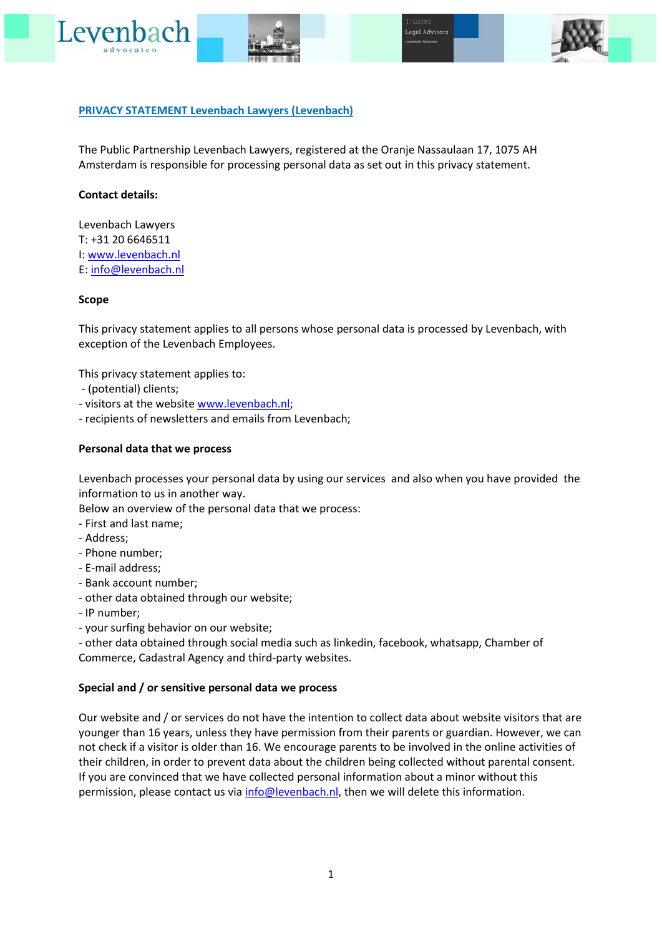





# **PRIVACY STATEMENT Levenbach Lawyers (Levenbach)**

The Public Partnership Levenbach Lawyers, registered at the Oranje Nassaulaan 17, 1075 AH Amsterdam is responsible for processing personal data as set out in this privacy statement.

## **Contact details:**

Levenbach Lawyers T: +31 20 6646511 I: [www.levenbach.nl](http://www.levenbach.nl/) E[: info@levenbach.nl](mailto:info@levenbach.nl)

### **Scope**

This privacy statement applies to all persons whose personal data is processed by Levenbach, with exception of the Levenbach Employees.

This privacy statement applies to:

- (potential) clients;
- visitors at the websit[e www.levenbach.nl;](http://www.levenbach.nl/)
- recipients of newsletters and emails from Levenbach;

## **Personal data that we process**

Levenbach processes your personal data by using our services and also when you have provided the information to us in another way.

Below an overview of the personal data that we process:

- First and last name;
- Address;
- Phone number;
- E-mail address;
- Bank account number;
- other data obtained through our website;
- IP number;
- your surfing behavior on our website;

- other data obtained through social media such as linkedin, facebook, whatsapp, Chamber of Commerce, Cadastral Agency and third-party websites.

#### **Special and / or sensitive personal data we process**

Our website and / or services do not have the intention to collect data about website visitors that are younger than 16 years, unless they have permission from their parents or guardian. However, we can not check if a visitor is older than 16. We encourage parents to be involved in the online activities of their children, in order to prevent data about the children being collected without parental consent. If you are convinced that we have collected personal information about a minor without this permission, please contact us via [info@levenbach.nl,](mailto:info@levenbach.nl) then we will delete this information.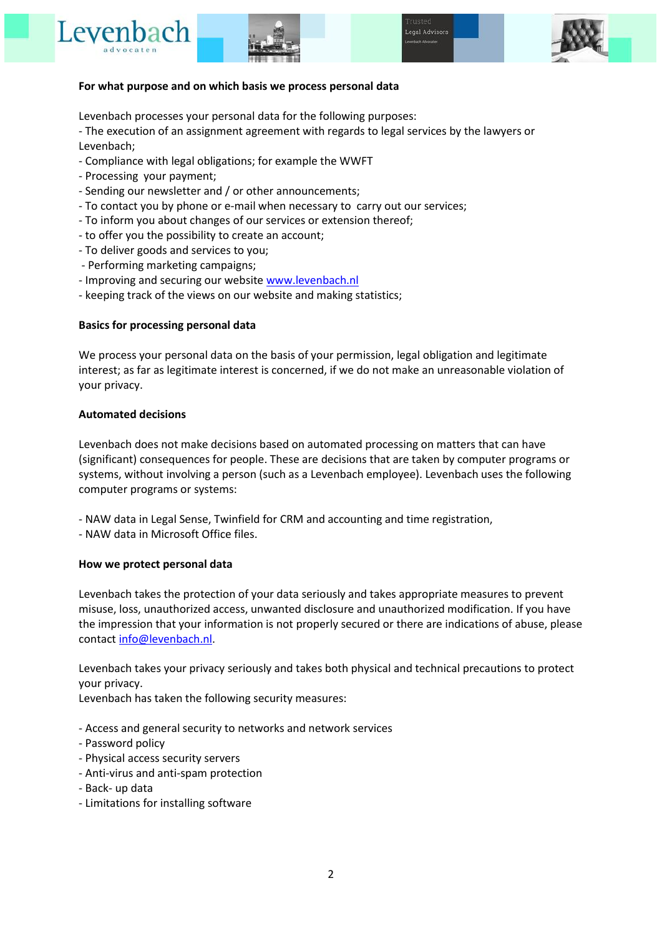





### **For what purpose and on which basis we process personal data**

Levenbach processes your personal data for the following purposes:

- The execution of an assignment agreement with regards to legal services by the lawyers or Levenbach;

- Compliance with legal obligations; for example the WWFT
- Processing your payment;
- Sending our newsletter and / or other announcements;
- To contact you by phone or e-mail when necessary to carry out our services;
- To inform you about changes of our services or extension thereof;
- to offer you the possibility to create an account;
- To deliver goods and services to you;
- Performing marketing campaigns;
- Improving and securing our website [www.levenbach.nl](http://www.levenbach.nl/)
- keeping track of the views on our website and making statistics;

## **Basics for processing personal data**

We process your personal data on the basis of your permission, legal obligation and legitimate interest; as far as legitimate interest is concerned, if we do not make an unreasonable violation of your privacy.

### **Automated decisions**

Levenbach does not make decisions based on automated processing on matters that can have (significant) consequences for people. These are decisions that are taken by computer programs or systems, without involving a person (such as a Levenbach employee). Levenbach uses the following computer programs or systems:

- NAW data in Legal Sense, Twinfield for CRM and accounting and time registration,
- NAW data in Microsoft Office files.

## **How we protect personal data**

Levenbach takes the protection of your data seriously and takes appropriate measures to prevent misuse, loss, unauthorized access, unwanted disclosure and unauthorized modification. If you have the impression that your information is not properly secured or there are indications of abuse, please contact [info@levenbach.nl.](mailto:info@levenbach.nl)

Levenbach takes your privacy seriously and takes both physical and technical precautions to protect your privacy.

Levenbach has taken the following security measures:

- Access and general security to networks and network services
- Password policy
- Physical access security servers
- Anti-virus and anti-spam protection
- Back- up data
- Limitations for installing software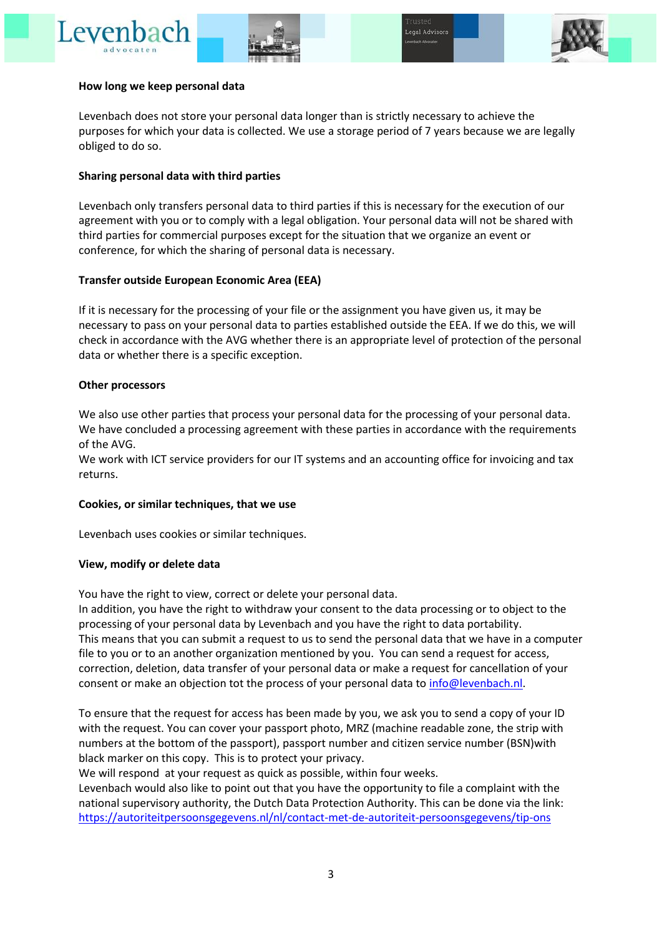# Lever





# **How long we keep personal data**

Levenbach does not store your personal data longer than is strictly necessary to achieve the purposes for which your data is collected. We use a storage period of 7 years because we are legally obliged to do so.

# **Sharing personal data with third parties**

Levenbach only transfers personal data to third parties if this is necessary for the execution of our agreement with you or to comply with a legal obligation. Your personal data will not be shared with third parties for commercial purposes except for the situation that we organize an event or conference, for which the sharing of personal data is necessary.

# **Transfer outside European Economic Area (EEA)**

If it is necessary for the processing of your file or the assignment you have given us, it may be necessary to pass on your personal data to parties established outside the EEA. If we do this, we will check in accordance with the AVG whether there is an appropriate level of protection of the personal data or whether there is a specific exception.

# **Other processors**

We also use other parties that process your personal data for the processing of your personal data. We have concluded a processing agreement with these parties in accordance with the requirements of the AVG.

We work with ICT service providers for our IT systems and an accounting office for invoicing and tax returns.

## **Cookies, or similar techniques, that we use**

Levenbach uses cookies or similar techniques.

# **View, modify or delete data**

You have the right to view, correct or delete your personal data.

In addition, you have the right to withdraw your consent to the data processing or to object to the processing of your personal data by Levenbach and you have the right to data portability. This means that you can submit a request to us to send the personal data that we have in a computer file to you or to an another organization mentioned by you. You can send a request for access, correction, deletion, data transfer of your personal data or make a request for cancellation of your consent or make an objection tot the process of your personal data to [info@levenbach.nl.](mailto:info@levenbach.nl)

To ensure that the request for access has been made by you, we ask you to send a copy of your ID with the request. You can cover your passport photo, MRZ (machine readable zone, the strip with numbers at the bottom of the passport), passport number and citizen service number (BSN)with black marker on this copy. This is to protect your privacy.

We will respond at your request as quick as possible, within four weeks.

Levenbach would also like to point out that you have the opportunity to file a complaint with the national supervisory authority, the Dutch Data Protection Authority. This can be done via the link: <https://autoriteitpersoonsgegevens.nl/nl/contact-met-de-autoriteit-persoonsgegevens/tip-ons>